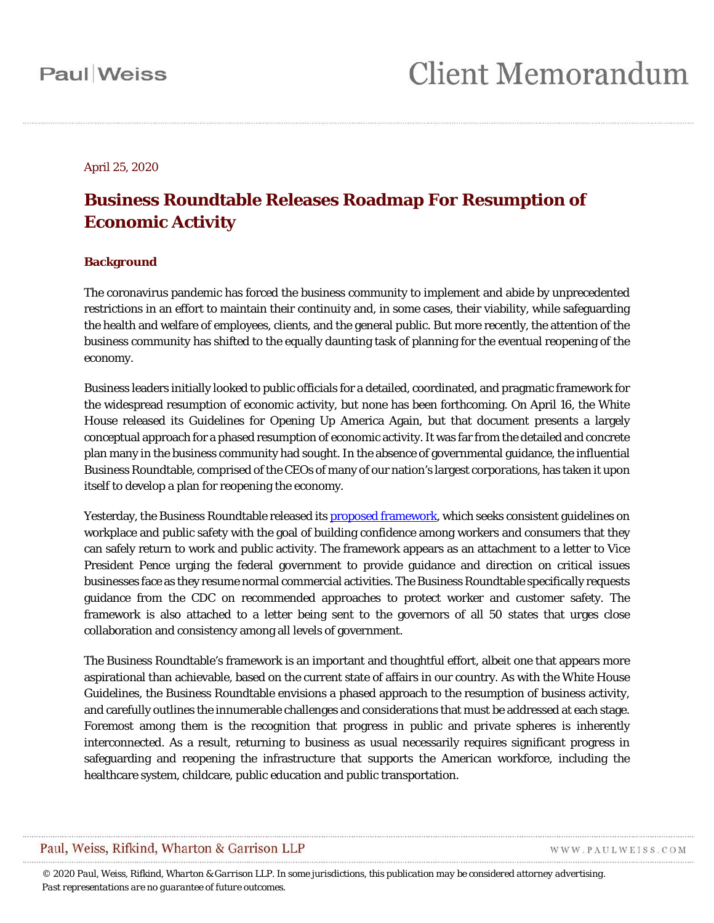#### April 25, 2020

### **Business Roundtable Releases Roadmap For Resumption of Economic Activity**

#### **Background**

The coronavirus pandemic has forced the business community to implement and abide by unprecedented restrictions in an effort to maintain their continuity and, in some cases, their viability, while safeguarding the health and welfare of employees, clients, and the general public. But more recently, the attention of the business community has shifted to the equally daunting task of planning for the eventual reopening of the economy.

Business leaders initially looked to public officials for a detailed, coordinated, and pragmatic framework for the widespread resumption of economic activity, but none has been forthcoming. On April 16, the White House released its Guidelines for Opening Up America Again, but that document presents a largely conceptual approach for a phased resumption of economic activity. It was far from the detailed and concrete plan many in the business community had sought. In the absence of governmental guidance, the influential Business Roundtable, comprised of the CEOs of many of our nation's largest corporations, has taken it upon itself to develop a plan for reopening the economy.

Yesterday, the Business Roundtable released its [proposed framework,](https://www.paulweiss.com/media/3980065/business-roundtable-guidlines-for-returning-to-work-20200424.pdf) which seeks consistent guidelines on workplace and public safety with the goal of building confidence among workers and consumers that they can safely return to work and public activity. The framework appears as an attachment to a letter to Vice President Pence urging the federal government to provide guidance and direction on critical issues businesses face as they resume normal commercial activities. The Business Roundtable specifically requests guidance from the CDC on recommended approaches to protect worker and customer safety. The framework is also attached to a letter being sent to the governors of all 50 states that urges close collaboration and consistency among all levels of government.

The Business Roundtable's framework is an important and thoughtful effort, albeit one that appears more aspirational than achievable, based on the current state of affairs in our country. As with the White House Guidelines, the Business Roundtable envisions a phased approach to the resumption of business activity, and carefully outlines the innumerable challenges and considerations that must be addressed at each stage. Foremost among them is the recognition that progress in public and private spheres is inherently interconnected. As a result, returning to business as usual necessarily requires significant progress in safeguarding and reopening the infrastructure that supports the American workforce, including the healthcare system, childcare, public education and public transportation.

#### Paul, Weiss, Rifkind, Wharton & Garrison LLP

WWW.PAULWEISS.COM

*© 2020 Paul, Weiss, Rifkind, Wharton & Garrison LLP. In some jurisdictions, this publication may be considered attorney advertising. Past representations are no guarantee of future outcomes.*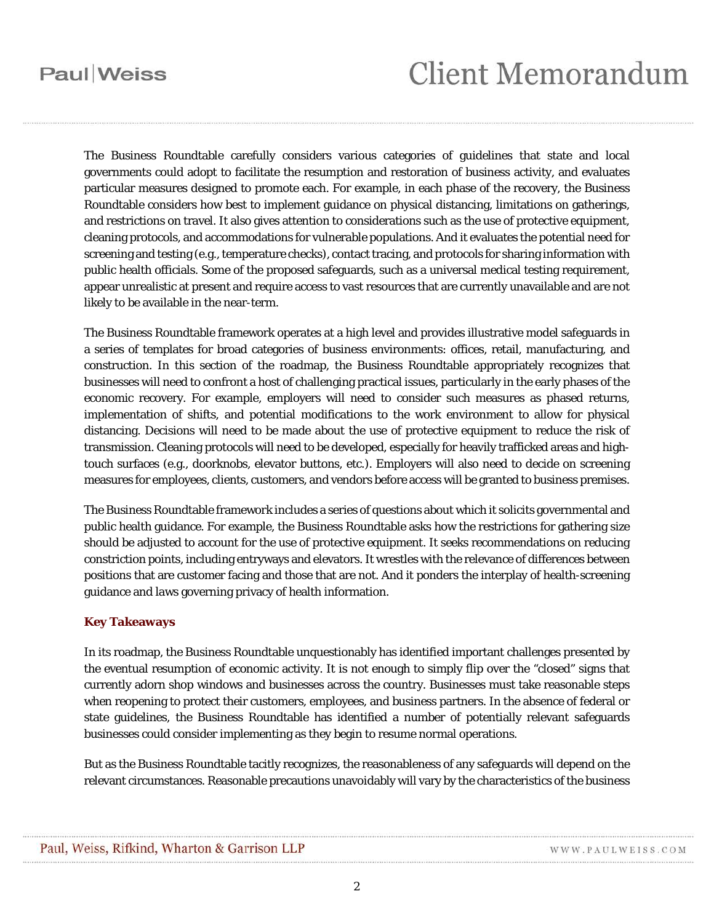## **Paul** Weiss

# **Client Memorandum**

The Business Roundtable carefully considers various categories of guidelines that state and local governments could adopt to facilitate the resumption and restoration of business activity, and evaluates particular measures designed to promote each. For example, in each phase of the recovery, the Business Roundtable considers how best to implement guidance on physical distancing, limitations on gatherings, and restrictions on travel. It also gives attention to considerations such as the use of protective equipment, cleaning protocols, and accommodations for vulnerable populations. And it evaluates the potential need for screening and testing (e.g., temperature checks), contact tracing, and protocols for sharing information with public health officials. Some of the proposed safeguards, such as a universal medical testing requirement, appear unrealistic at present and require access to vast resources that are currently unavailable and are not likely to be available in the near-term.

The Business Roundtable framework operates at a high level and provides illustrative model safeguards in a series of templates for broad categories of business environments: offices, retail, manufacturing, and construction. In this section of the roadmap, the Business Roundtable appropriately recognizes that businesses will need to confront a host of challenging practical issues, particularly in the early phases of the economic recovery. For example, employers will need to consider such measures as phased returns, implementation of shifts, and potential modifications to the work environment to allow for physical distancing. Decisions will need to be made about the use of protective equipment to reduce the risk of transmission. Cleaning protocols will need to be developed, especially for heavily trafficked areas and hightouch surfaces (e.g., doorknobs, elevator buttons, etc.). Employers will also need to decide on screening measures for employees, clients, customers, and vendors before access will be granted to business premises.

The Business Roundtable framework includes a series of questions about which it solicits governmental and public health guidance. For example, the Business Roundtable asks how the restrictions for gathering size should be adjusted to account for the use of protective equipment. It seeks recommendations on reducing constriction points, including entryways and elevators. It wrestles with the relevance of differences between positions that are customer facing and those that are not. And it ponders the interplay of health-screening guidance and laws governing privacy of health information.

#### **Key Takeaways**

In its roadmap, the Business Roundtable unquestionably has identified important challenges presented by the eventual resumption of economic activity. It is not enough to simply flip over the "closed" signs that currently adorn shop windows and businesses across the country. Businesses must take reasonable steps when reopening to protect their customers, employees, and business partners. In the absence of federal or state guidelines, the Business Roundtable has identified a number of potentially relevant safeguards businesses could consider implementing as they begin to resume normal operations.

But as the Business Roundtable tacitly recognizes, the reasonableness of any safeguards will depend on the relevant circumstances. Reasonable precautions unavoidably will vary by the characteristics of the business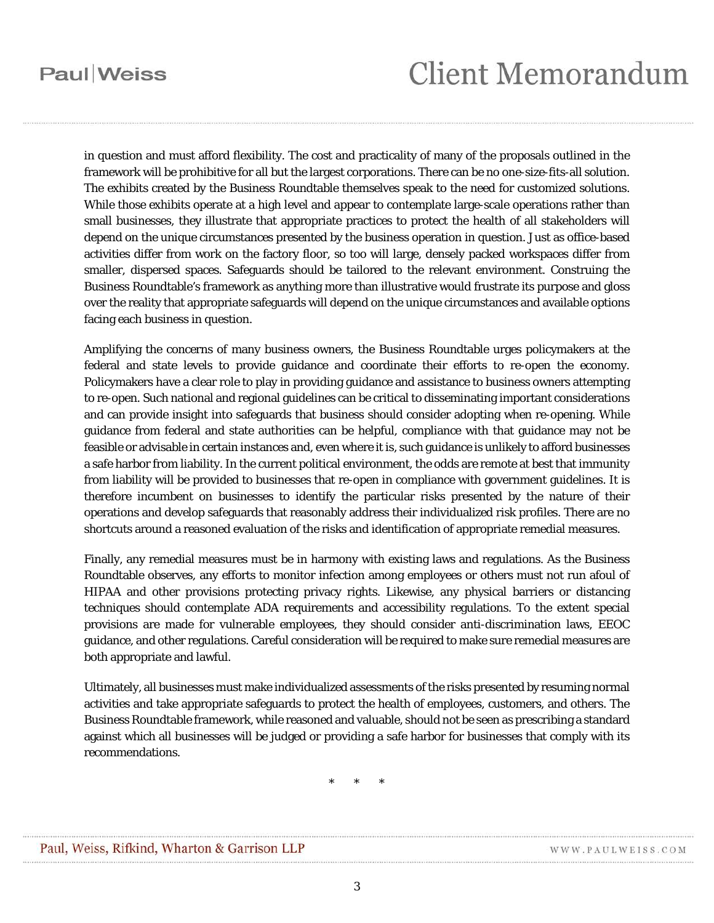## **Paul** Weiss

# **Client Memorandum**

in question and must afford flexibility. The cost and practicality of many of the proposals outlined in the framework will be prohibitive for all but the largest corporations. There can be no one-size-fits-all solution. The exhibits created by the Business Roundtable themselves speak to the need for customized solutions. While those exhibits operate at a high level and appear to contemplate large-scale operations rather than small businesses, they illustrate that appropriate practices to protect the health of all stakeholders will depend on the unique circumstances presented by the business operation in question. Just as office-based activities differ from work on the factory floor, so too will large, densely packed workspaces differ from smaller, dispersed spaces. Safeguards should be tailored to the relevant environment. Construing the Business Roundtable's framework as anything more than illustrative would frustrate its purpose and gloss over the reality that appropriate safeguards will depend on the unique circumstances and available options facing each business in question.

Amplifying the concerns of many business owners, the Business Roundtable urges policymakers at the federal and state levels to provide guidance and coordinate their efforts to re-open the economy. Policymakers have a clear role to play in providing guidance and assistance to business owners attempting to re-open. Such national and regional guidelines can be critical to disseminating important considerations and can provide insight into safeguards that business should consider adopting when re-opening. While guidance from federal and state authorities can be helpful, compliance with that guidance may not be feasible or advisable in certain instances and, even where it is, such guidance is unlikely to afford businesses a safe harbor from liability. In the current political environment, the odds are remote at best that immunity from liability will be provided to businesses that re-open in compliance with government guidelines. It is therefore incumbent on businesses to identify the particular risks presented by the nature of their operations and develop safeguards that reasonably address their individualized risk profiles. There are no shortcuts around a reasoned evaluation of the risks and identification of appropriate remedial measures.

Finally, any remedial measures must be in harmony with existing laws and regulations. As the Business Roundtable observes, any efforts to monitor infection among employees or others must not run afoul of HIPAA and other provisions protecting privacy rights. Likewise, any physical barriers or distancing techniques should contemplate ADA requirements and accessibility regulations. To the extent special provisions are made for vulnerable employees, they should consider anti-discrimination laws, EEOC guidance, and other regulations. Careful consideration will be required to make sure remedial measures are both appropriate and lawful.

Ultimately, all businesses must make individualized assessments of the risks presented by resuming normal activities and take appropriate safeguards to protect the health of employees, customers, and others. The Business Roundtable framework, while reasoned and valuable, should not be seen as prescribing a standard against which all businesses will be judged or providing a safe harbor for businesses that comply with its recommendations.

\* \* \*

WWW.PAULWEISS.COM